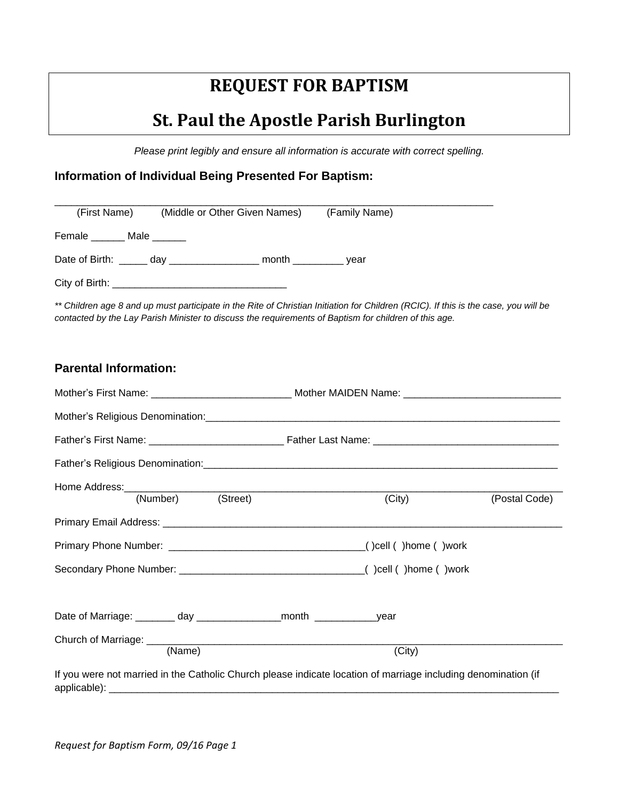# **REQUEST FOR BAPTISM**

## **St. Paul the Apostle Parish Burlington**

*Please print legibly and ensure all information is accurate with correct spelling.*

## **Information of Individual Being Presented For Baptism:**

| (First Name)                                             | (Middle or Other Given Names) | (Family Name) |  |
|----------------------------------------------------------|-------------------------------|---------------|--|
| Female _______ Male ______                               |                               |               |  |
| Date of Birth: <u>come</u> day <u>contained</u><br>month |                               | vear          |  |
| City of Birth:                                           |                               |               |  |

*\*\* Children age 8 and up must participate in the Rite of Christian Initiation for Children (RCIC). If this is the case, you will be contacted by the Lay Parish Minister to discuss the requirements of Baptism for children of this age.*

## **Parental Information:**

| (Number) (Street) |  | (City)                                                                                                         | (Postal Code) |
|-------------------|--|----------------------------------------------------------------------------------------------------------------|---------------|
|                   |  |                                                                                                                |               |
|                   |  |                                                                                                                |               |
|                   |  |                                                                                                                |               |
|                   |  |                                                                                                                |               |
| (Name)            |  | (City)                                                                                                         |               |
|                   |  | If you were not married in the Catholic Church please indicate location of marriage including denomination (if |               |